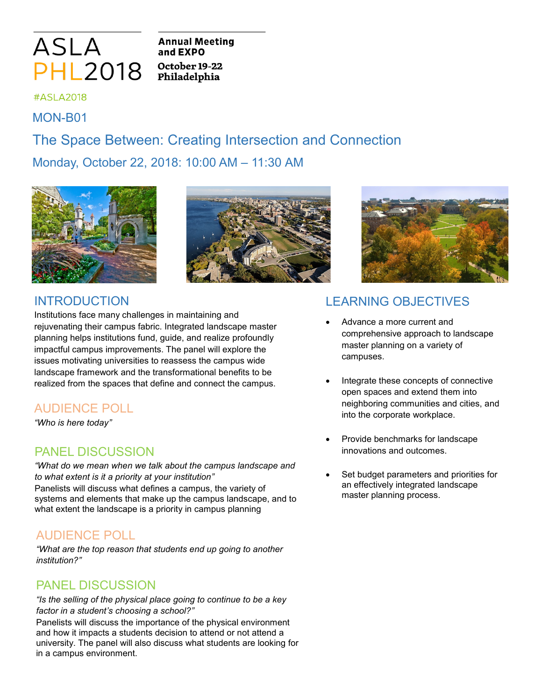

**Annual Meeting** and EXPO October 19-22 Philadelphia

#### #ASLA2018

MON-B01

# The Space Between: Creating Intersection and Connection

Monday, October 22, 2018: 10:00 AM – 11:30 AM







#### INTRODUCTION

Institutions face many challenges in maintaining and rejuvenating their campus fabric. Integrated landscape master planning helps institutions fund, guide, and realize profoundly impactful campus improvements. The panel will explore the issues motivating universities to reassess the campus wide landscape framework and the transformational benefits to be realized from the spaces that define and connect the campus.

## AUDIENCE POLL

*"Who is here today"*

### PANEL DISCUSSION

*"What do we mean when we talk about the campus landscape and to what extent is it a priority at your institution"* Panelists will discuss what defines a campus, the variety of systems and elements that make up the campus landscape, and to what extent the landscape is a priority in campus planning

## AUDIENCE POLL

*"What are the top reason that students end up going to another institution?"*

#### PANEL DISCUSSION

*"Is the selling of the physical place going to continue to be a key factor in a student's choosing a school?"*

Panelists will discuss the importance of the physical environment and how it impacts a students decision to attend or not attend a university. The panel will also discuss what students are looking for in a campus environment.

## LEARNING OBJECTIVES

- Advance a more current and comprehensive approach to landscape master planning on a variety of campuses.
- Integrate these concepts of connective open spaces and extend them into neighboring communities and cities, and into the corporate workplace.
- Provide benchmarks for landscape innovations and outcomes.
- Set budget parameters and priorities for an effectively integrated landscape master planning process.